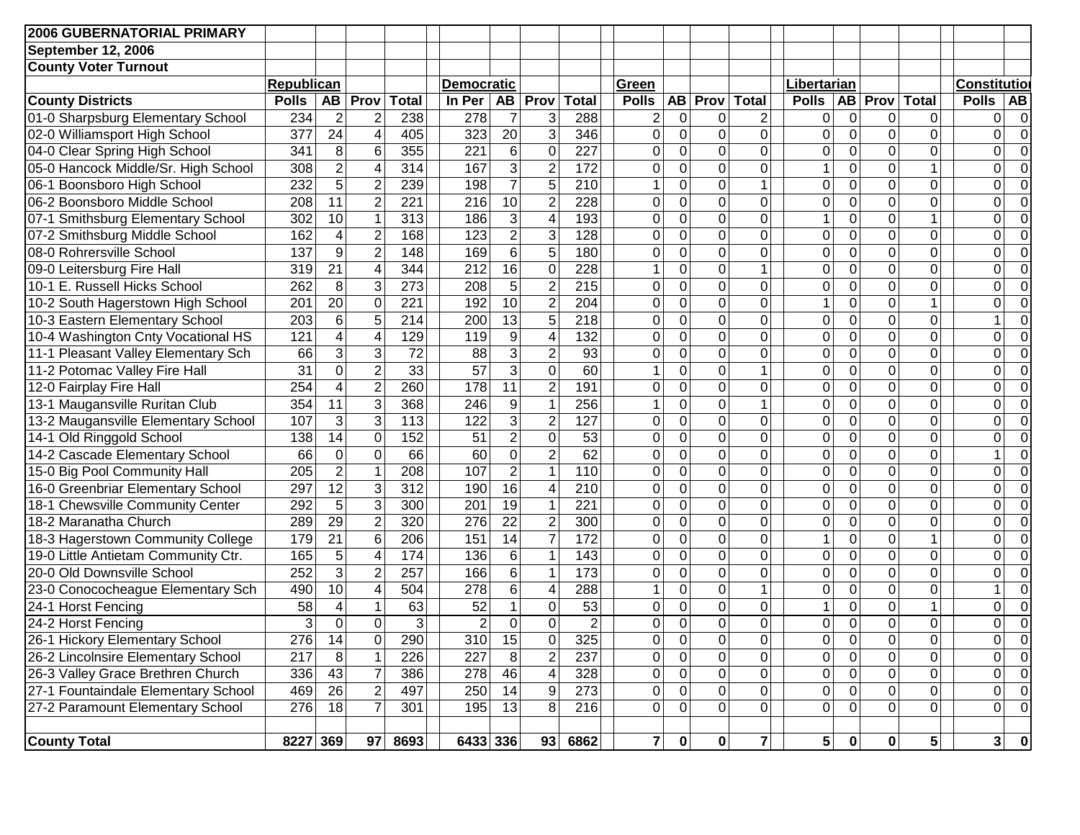| <b>2006 GUBERNATORIAL PRIMARY</b>   |                  |                 |                          |                 |                   |                  |                         |                  |                |              |                |                |                |                         |                  |                |                         |                         |
|-------------------------------------|------------------|-----------------|--------------------------|-----------------|-------------------|------------------|-------------------------|------------------|----------------|--------------|----------------|----------------|----------------|-------------------------|------------------|----------------|-------------------------|-------------------------|
| <b>September 12, 2006</b>           |                  |                 |                          |                 |                   |                  |                         |                  |                |              |                |                |                |                         |                  |                |                         |                         |
| <b>County Voter Turnout</b>         |                  |                 |                          |                 |                   |                  |                         |                  |                |              |                |                |                |                         |                  |                |                         |                         |
|                                     | Republican       |                 |                          |                 | <b>Democratic</b> |                  |                         |                  | Green          |              |                |                | Libertarian    |                         |                  |                |                         | Constitutio             |
| <b>County Districts</b>             | <b>Polls</b>     | AB              | Prov                     | <b>Total</b>    | In Per            | <b>AB</b>        | Prov                    | <b>Total</b>     | <b>Polls</b>   |              | AB Prov        | <b>Total</b>   | <b>Polls</b>   | <b>AB</b>               | Prov             | <b>Total</b>   | <b>Polls</b>            | <b>AB</b>               |
| 01-0 Sharpsburg Elementary School   | 234              | $\overline{2}$  | $\overline{2}$           | 238             | 278               | $\overline{7}$   | 3                       | 288              | 2              | 0            | 0              | $\overline{2}$ | 0              | $\mathbf 0$             | 0                | 0              | 0                       | 0                       |
| 02-0 Williamsport High School       | 377              | $\overline{24}$ | $\overline{\mathbf{4}}$  | 405             | 323               | 20               | $\overline{3}$          | 346              | 0              | 0            | 0              | $\mathbf 0$    | 0              | $\mathbf 0$             | $\mathbf 0$      | 0              | 0                       | $\Omega$                |
| 04-0 Clear Spring High School       | 341              | 8               | 6                        | 355             | 221               | 6                | 0                       | 227              | $\Omega$       | 0            | 0              | $\mathbf 0$    | 0              | $\mathbf 0$             | $\mathbf 0$      | 0              | $\overline{0}$          |                         |
| 05-0 Hancock Middle/Sr. High School | 308              | $\overline{2}$  | $\overline{\mathbf{4}}$  | 314             | 167               | $\overline{3}$   | $\overline{2}$          | 172              | 0              | 0            | 0              | $\mathbf 0$    |                | $\overline{0}$          | $\mathbf 0$      | $\mathbf{1}$   | $\overline{0}$          |                         |
| 06-1 Boonsboro High School          | 232              | $\overline{5}$  | $\overline{2}$           | 239             | 198               | $\overline{7}$   | $\overline{5}$          | 210              | 1              | $\mathbf 0$  | $\mathbf 0$    | $\mathbf{1}$   | 0              | $\overline{0}$          | $\mathbf 0$      | $\Omega$       | $\mathbf 0$             |                         |
| 06-2 Boonsboro Middle School        | 208              | $\overline{11}$ | $\overline{2}$           | 221             | 216               | 10               | $\overline{2}$          | 228              | $\mathbf 0$    | $\mathbf 0$  | 0              | $\mathbf 0$    | 0              | $\mathbf 0$             | $\mathbf 0$      | 0              | $\mathbf 0$             |                         |
| 07-1 Smithsburg Elementary School   | 302              | 10              | $\mathbf{1}$             | 313             | 186               | $\overline{3}$   | 4                       | 193              | $\Omega$       | $\mathbf{0}$ | $\mathbf 0$    | $\mathbf 0$    | 1              | $\mathbf 0$             | $\mathbf 0$      | $\mathbf 1$    | $\mathbf 0$             |                         |
| 07-2 Smithsburg Middle School       | 162              | 4               | $\overline{2}$           | 168             | 123               | $\overline{2}$   | $\overline{3}$          | 128              | $\Omega$       | $\mathbf{0}$ | $\mathbf 0$    | $\mathbf 0$    | 0              | $\mathbf 0$             | $\mathbf 0$      | $\overline{0}$ | $\mathbf 0$             |                         |
| 08-0 Rohrersville School            | 137              | 9               | $\overline{2}$           | 148             | 169               | $\overline{6}$   | $\overline{5}$          | 180              | $\Omega$       | $\mathbf 0$  | 0              | $\mathbf 0$    | 0              | $\mathbf 0$             | $\pmb{0}$        | $\overline{0}$ | 0                       |                         |
| 09-0 Leitersburg Fire Hall          | 319              | $\overline{21}$ | $\overline{\mathbf{4}}$  | 344             | 212               | 16               | 0                       | $\overline{228}$ | 1              | $\mathbf 0$  | $\pmb{0}$      | 1              | 0              | $\mathbf 0$             | $\mathbf 0$      | $\mathbf 0$    | $\overline{0}$          |                         |
| 10-1 E. Russell Hicks School        | 262              | 8               | 3                        | 273             | 208               | 5                | $\overline{2}$          | $\overline{215}$ | $\Omega$       | $\mathbf 0$  | $\mathbf 0$    | $\mathbf 0$    | 0              | $\mathbf 0$             | $\mathbf 0$      | 0              | 0                       |                         |
| 10-2 South Hagerstown High School   | 201              | $\overline{20}$ | $\mathbf 0$              | 221             | 192               | 10               | $\overline{2}$          | 204              | 0              | 0            | $\mathbf 0$    | $\mathbf 0$    |                | $\mathbf 0$             | $\mathbf 0$      | $\mathbf{1}$   | 0                       |                         |
| 10-3 Eastern Elementary School      | 203              | $\,6$           | $\overline{5}$           | 214             | 200               | 13               | $\overline{5}$          | 218              | 0              | $\mathbf 0$  | $\mathbf 0$    | $\mathbf 0$    | 0              | $\overline{0}$          | $\mathbf 0$      | $\overline{0}$ | 1                       |                         |
| 10-4 Washington Cnty Vocational HS  | 121              | 4               | $\overline{4}$           | 129             | 119               | 9                | 4                       | 132              | 0              | $\mathbf 0$  | $\mathbf 0$    | $\mathbf 0$    | 0              | $\mathbf 0$             | $\mathbf 0$      | $\overline{0}$ | $\overline{0}$          | 0                       |
| 11-1 Pleasant Valley Elementary Sch | 66               | 3               | $\overline{3}$           | $\overline{72}$ | 88                | $\overline{3}$   | $\overline{2}$          | 93               | 0              | 0            | $\mathbf 0$    | $\mathbf 0$    | 0              | $\mathbf 0$             | $\overline{0}$   | $\overline{0}$ | $\overline{0}$          | 0                       |
| 11-2 Potomac Valley Fire Hall       | 31               | $\mathbf 0$     | $\overline{2}$           | 33              | $\overline{57}$   | $\overline{3}$   | $\overline{0}$          | 60               | 1              | 0            | $\mathbf 0$    | 1              | 0              | $\mathbf 0$             | $\overline{0}$   | $\overline{0}$ | $\mathbf 0$             | 0                       |
| 12-0 Fairplay Fire Hall             | 254              | 4               | $\overline{2}$           | 260             | 178               | 11               | $\overline{2}$          | 191              | 0              | 0            | $\pmb{0}$      | $\overline{0}$ | 0              | $\mathbf 0$             | $\mathbf 0$      | $\overline{0}$ | 0                       | 0                       |
| 13-1 Maugansville Ruritan Club      | 354              | 11              | $\overline{3}$           | 368             | 246               | 9                | 1                       | 256              | 1              | $\mathbf 0$  | 0              | $\mathbf{1}$   | 0              | $\mathbf 0$             | $\pmb{0}$        | $\overline{0}$ | 0                       | $\Omega$                |
| 13-2 Maugansville Elementary School | 107              | 3               | $\overline{3}$           | 113             | 122               | $\overline{3}$   | $\overline{2}$          | 127              | $\overline{0}$ | 0            | 0              | $\mathbf 0$    | 0              | $\mathbf 0$             | $\mathbf 0$      | 0              | $\overline{0}$          | 0                       |
| 14-1 Old Ringgold School            | 138              | 14              | 0                        | 152             | 51                | $\overline{2}$   | $\overline{0}$          | 53               | 0              | 0            | 0              | $\mathbf 0$    | 0              | $\mathbf 0$             | $\mathbf 0$      | 0              | 0                       | 0                       |
| 14-2 Cascade Elementary School      | 66               | $\mathbf 0$     | $\overline{0}$           | 66              | 60                | $\boldsymbol{0}$ | $\overline{2}$          | 62               | $\mathbf 0$    | $\mathbf 0$  | $\mathbf 0$    | $\mathbf 0$    | 0              | $\mathbf 0$             | $\mathbf 0$      | 0              | 1                       | 0                       |
| 15-0 Big Pool Community Hall        | 205              | $\overline{2}$  | $\mathbf{1}$             | 208             | 107               | $\overline{2}$   | $\overline{1}$          | 110              | $\mathbf 0$    | $\mathbf 0$  | 0              | $\mathbf 0$    | 0              | $\mathbf 0$             | $\mathbf 0$      | 0              | $\mathbf 0$             | 0                       |
| 16-0 Greenbriar Elementary School   | 297              | $\overline{12}$ | $\overline{3}$           | 312             | 190               | 16               | $\overline{\mathbf{4}}$ | 210              | $\mathbf 0$    | $\mathbf 0$  | 0              | $\mathbf 0$    | 0              | $\mathbf 0$             | $\mathbf 0$      | $\mathbf 0$    | 0                       | 0                       |
| 18-1 Chewsville Community Center    | 292              | 5               | $\overline{3}$           | 300             | 201               | 19               | 1                       | 221              | 0              | 0            | $\pmb{0}$      | $\mathbf 0$    | 0              | $\mathbf 0$             | $\boldsymbol{0}$ | $\overline{0}$ | $\mathbf{0}$            |                         |
| 18-2 Maranatha Church               | 289              | 29              | $\overline{2}$           | 320             | 276               | 22               | $\overline{2}$          | 300              | 0              | $\mathbf 0$  | 0              | $\mathbf 0$    | 0              | $\mathbf 0$             | $\mathbf 0$      | 0              | 0                       |                         |
| 18-3 Hagerstown Community College   | 179              | $\overline{21}$ | 6                        | 206             | 151               | 14               | $\overline{7}$          | 172              | $\mathbf 0$    | $\mathbf 0$  | $\mathbf 0$    | $\mathbf 0$    |                | $\mathbf 0$             | $\mathbf 0$      | 1              | 0                       |                         |
| 19-0 Little Antietam Community Ctr. | 165              | 5               | $\overline{\mathcal{A}}$ | 174             | 136               | 6                | 1                       | 143              | $\Omega$       | $\mathbf 0$  | $\mathbf 0$    | $\mathbf 0$    | 0              | $\mathbf 0$             | $\mathbf 0$      | $\mathbf 0$    | 0                       |                         |
| 20-0 Old Downsville School          | 252              | 3               | $\overline{2}$           | 257             | 166               | $6\phantom{1}$   | 1                       | 173              | $\Omega$       | 0            | $\mathbf 0$    | $\mathbf 0$    | 0              | $\mathbf 0$             | $\mathbf 0$      | 0              | 0                       |                         |
| 23-0 Conococheague Elementary Sch   | 490              | 10              | $\overline{\mathbf{4}}$  | 504             | 278               | $6\phantom{1}$   | 4                       | 288              |                | 0            | $\mathbf 0$    | $\mathbf 1$    | $\overline{0}$ | 0                       | $\mathbf 0$      | 0              |                         |                         |
| 24-1 Horst Fencing                  | 58               | $\overline{4}$  | 1                        | 63              | 52                | $\mathbf{1}$     | 0                       | 53               | 0              | 0            | $\mathbf 0$    | $\overline{0}$ |                | 0                       | $\mathbf 0$      | $\mathbf{1}$   | 0                       |                         |
| 24-2 Horst Fencing                  | 3                | $\Omega$        | $\Omega$                 | 3               | $\overline{2}$    | $\overline{0}$   | $\Omega$                | $\overline{2}$   | $\Omega$       | $\Omega$     | $\overline{0}$ | $\Omega$       | 0              | $\Omega$                | $\overline{0}$   | $\Omega$       | $\Omega$                |                         |
| 26-1 Hickory Elementary School      | 276              | 14              | 0                        | 290             | 310               | 15               | 0                       | 325              | 0              | 0            | 0              | 0              | 0              | $\overline{0}$          | 0                | 0              | 0                       | $\overline{0}$          |
| 26-2 Lincolnsire Elementary School  | $\overline{217}$ | $\overline{8}$  | 1                        | 226             | $\overline{227}$  | $\overline{8}$   | $\overline{2}$          | 237              | 0              | 0            | $\overline{0}$ | $\mathbf 0$    | $\overline{0}$ | $\overline{\mathbf{o}}$ | $\overline{0}$   | $\overline{0}$ | 0                       | $\overline{0}$          |
| 26-3 Valley Grace Brethren Church   | 336              | 43              | $\overline{7}$           | 386             | 278               | 46               | 4                       | 328              | 0              | 0            | 0              | 0              | $\mathbf 0$    | $\mathsf{O}\xspace$     | $\overline{0}$   | $\overline{0}$ | 0                       | $\overline{0}$          |
| 27-1 Fountaindale Elementary School | 469              | $\overline{26}$ | $\overline{2}$           | 497             | 250               | 14               | 9                       | 273              | $\mathbf 0$    | 0            | $\overline{0}$ | 0              | $\mathbf 0$    | $\overline{0}$          | $\overline{0}$   | $\overline{0}$ | 0                       | $\overline{0}$          |
| 27-2 Paramount Elementary School    | 276              | 18              | $\overline{7}$           | 301             | 195               | 13               | 8                       | 216              | $\mathbf 0$    | $\mathbf{0}$ | $\overline{0}$ | 0              | $\mathbf 0$    | $\mathbf 0$             | $\overline{0}$   | $\Omega$       | 0                       | $\overline{0}$          |
| <b>County Total</b>                 | 8227 369         |                 |                          | 97   8693       | 6433 336          |                  |                         | 93 6862          | $\mathbf{7}$   | 0            | 0              | $\mathbf{7}$   | 5              | $\mathbf 0$             | $\mathbf{0}$     | 5 <sub>1</sub> | $\overline{\mathbf{3}}$ | $\overline{\mathbf{0}}$ |